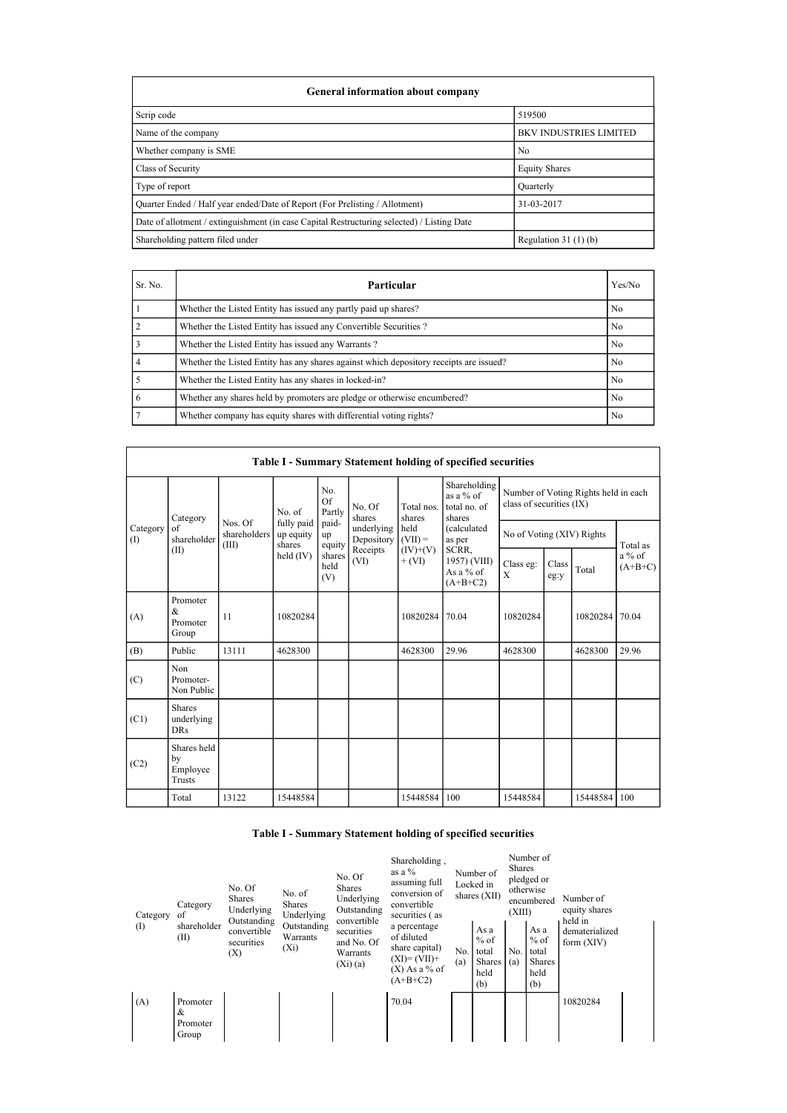| General information about company                                                          |                               |
|--------------------------------------------------------------------------------------------|-------------------------------|
| Scrip code                                                                                 | 519500                        |
| Name of the company                                                                        | <b>BKV INDUSTRIES LIMITED</b> |
| Whether company is SME                                                                     | N <sub>0</sub>                |
| Class of Security                                                                          | <b>Equity Shares</b>          |
| Type of report                                                                             | Quarterly                     |
| Quarter Ended / Half year ended/Date of Report (For Prelisting / Allotment)                | 31-03-2017                    |
| Date of allotment / extinguishment (in case Capital Restructuring selected) / Listing Date |                               |
| Shareholding pattern filed under                                                           | Regulation $31(1)(b)$         |

| Sr. No. | Particular                                                                             | Yes/No |
|---------|----------------------------------------------------------------------------------------|--------|
|         | Whether the Listed Entity has issued any partly paid up shares?                        | No     |
|         | Whether the Listed Entity has issued any Convertible Securities?                       | No     |
| 3       | Whether the Listed Entity has issued any Warrants?                                     | No     |
| 4       | Whether the Listed Entity has any shares against which depository receipts are issued? | No     |
|         | Whether the Listed Entity has any shares in locked-in?                                 | No     |
| 6       | Whether any shares held by promoters are pledge or otherwise encumbered?               | No     |
|         | Whether company has equity shares with differential voting rights?                     | No     |

|                 |                                           |                                  |                                   |                            |                                    |                        | Table I - Summary Statement holding of specified securities |                           |                                                                  |              |                       |  |  |
|-----------------|-------------------------------------------|----------------------------------|-----------------------------------|----------------------------|------------------------------------|------------------------|-------------------------------------------------------------|---------------------------|------------------------------------------------------------------|--------------|-----------------------|--|--|
|                 | Category                                  |                                  | No. of                            | No.<br><b>Of</b><br>Partly | No. Of<br>shares                   | Total nos.<br>shares   | Shareholding<br>as a $%$ of<br>total no. of<br>shares       |                           | Number of Voting Rights held in each<br>class of securities (IX) |              |                       |  |  |
| Category<br>(1) | of<br>shareholder                         | Nos. Of<br>shareholders<br>(III) | fully paid<br>up equity<br>shares | paid-<br>up<br>equity      | underlying<br>Depository $(VII) =$ | held                   | (calculated<br>as per                                       | No of Voting (XIV) Rights |                                                                  |              | Total as              |  |  |
|                 | (II)                                      |                                  | held $(IV)$                       | shares<br>held<br>(V)      | Receipts<br>(VI)                   | $(IV)+(V)$<br>$+ (VI)$ | SCRR,<br>1957) (VIII)<br>As a % of<br>$(A+B+C2)$            | Class eg:<br>X            | Class<br>eg:y                                                    | Total        | $a\%$ of<br>$(A+B+C)$ |  |  |
| (A)             | Promoter<br>$\&$<br>Promoter<br>Group     | 11                               | 10820284                          |                            |                                    | 10820284               | 70.04                                                       | 10820284                  |                                                                  | 10820284     | 70.04                 |  |  |
| (B)             | Public                                    | 13111                            | 4628300                           |                            |                                    | 4628300                | 29.96                                                       | 4628300                   |                                                                  | 4628300      | 29.96                 |  |  |
| (C)             | Non<br>Promoter-<br>Non Public            |                                  |                                   |                            |                                    |                        |                                                             |                           |                                                                  |              |                       |  |  |
| (C1)            | <b>Shares</b><br>underlying<br><b>DRs</b> |                                  |                                   |                            |                                    |                        |                                                             |                           |                                                                  |              |                       |  |  |
| (C2)            | Shares held<br>by<br>Employee<br>Trusts   |                                  |                                   |                            |                                    |                        |                                                             |                           |                                                                  |              |                       |  |  |
|                 | Total                                     | 13122                            | 15448584                          |                            |                                    | 15448584               | 100                                                         | 15448584                  |                                                                  | 15448584 100 |                       |  |  |

## Table I - Summary Statement holding of specified securities

| Category | Category<br>of                     | No. Of<br><b>Shares</b><br>Underlying<br>Outstanding | No. of<br><b>Shares</b><br>Underlying | No. Of<br><b>Shares</b><br>Underlying<br>Outstanding<br>convertible | Shareholding,<br>as a %<br>assuming full<br>conversion of<br>convertible<br>securities (as     |            | Number of<br>Locked in<br>shares $(XII)$         | <b>Shares</b><br>(XIII) | Number of<br>pledged or<br>otherwise<br>encumbered      | Number of<br>equity shares<br>held in |  |
|----------|------------------------------------|------------------------------------------------------|---------------------------------------|---------------------------------------------------------------------|------------------------------------------------------------------------------------------------|------------|--------------------------------------------------|-------------------------|---------------------------------------------------------|---------------------------------------|--|
| (1)      | shareholder<br>(II)                | convertible<br>securities<br>(X)                     | Outstanding<br>Warrants<br>$(X_i)$    | securities<br>and No. Of<br>Warrants<br>$(Xi)$ (a)                  | a percentage<br>of diluted<br>share capital)<br>$(XI)=(VII)+$<br>$(X)$ As a % of<br>$(A+B+C2)$ | No.<br>(a) | As a<br>$%$ of<br>total<br>Shares<br>held<br>(b) | No.<br>(a)              | As a<br>$%$ of<br>total<br><b>Shares</b><br>held<br>(b) | dematerialized<br>form $(XIV)$        |  |
| (A)      | Promoter<br>&<br>Promoter<br>Group |                                                      |                                       |                                                                     | 70.04                                                                                          |            |                                                  |                         |                                                         | 10820284                              |  |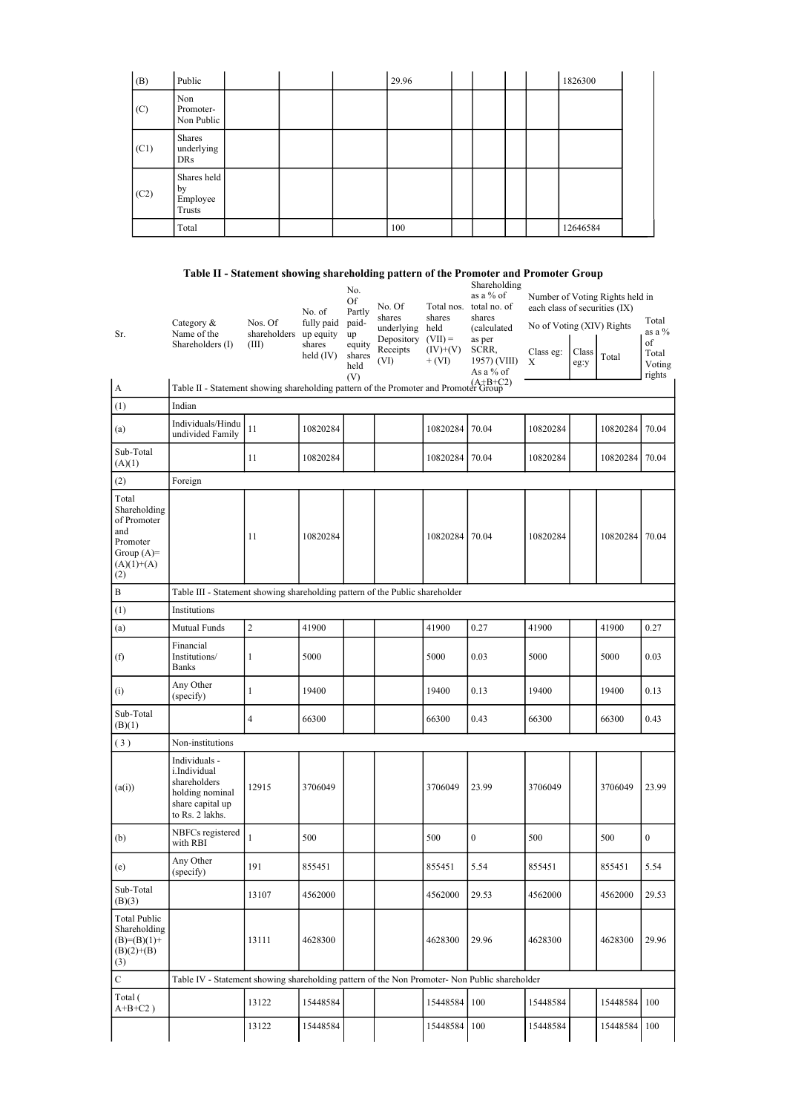| (B)  | Public                                  |  | 29.96 |  |  | 1826300  |  |
|------|-----------------------------------------|--|-------|--|--|----------|--|
| (C)  | Non<br>Promoter-<br>Non Public          |  |       |  |  |          |  |
| (C1) | Shares<br>underlying<br>DRs             |  |       |  |  |          |  |
| (C2) | Shares held<br>by<br>Employee<br>Trusts |  |       |  |  |          |  |
|      | Total                                   |  | 100   |  |  | 12646584 |  |

## Table II - Statement showing shareholding pattern of the Promoter and Promoter Group

| Sr.                                                                                            | Category &<br>Name of the<br>Shareholders (I)                                                           | Nos. Of<br>shareholders up equity<br>(III) | No. of<br>fully paid<br>shares<br>held $(IV)$ | No.<br>Of<br>Partly<br>paid-<br>up<br>equity<br>shares<br>held<br>(V) | No. Of<br>shares<br>underlying<br>Depository<br>Receipts<br>(VI) | Total nos.<br>shares<br>held<br>$(VII) =$<br>$(IV)+(V)$<br>$+ (VI)$ | Shareholding<br>as a % of<br>total no. of<br>shares<br><i>(calculated)</i><br>as per<br>SCRR,<br>1957) (VIII)<br>As a % of | each class of securities (IX)<br>No of Voting (XIV) Rights<br>Class eg:<br>Χ | Class<br>eg:y | Number of Voting Rights held in<br>Total | Total<br>as a %<br>of<br>Total<br>Voting<br>rights |
|------------------------------------------------------------------------------------------------|---------------------------------------------------------------------------------------------------------|--------------------------------------------|-----------------------------------------------|-----------------------------------------------------------------------|------------------------------------------------------------------|---------------------------------------------------------------------|----------------------------------------------------------------------------------------------------------------------------|------------------------------------------------------------------------------|---------------|------------------------------------------|----------------------------------------------------|
| A                                                                                              | Table II - Statement showing shareholding pattern of the Promoter and Promoter Group                    |                                            |                                               |                                                                       |                                                                  |                                                                     |                                                                                                                            |                                                                              |               |                                          |                                                    |
| (1)                                                                                            | Indian                                                                                                  |                                            |                                               |                                                                       |                                                                  |                                                                     |                                                                                                                            |                                                                              |               |                                          |                                                    |
| (a)                                                                                            | Individuals/Hindu<br>undivided Family                                                                   | 11                                         | 10820284                                      |                                                                       |                                                                  | 10820284                                                            | 70.04                                                                                                                      | 10820284                                                                     |               | 10820284                                 | 70.04                                              |
| Sub-Total<br>(A)(1)                                                                            |                                                                                                         | 11                                         | 10820284                                      |                                                                       |                                                                  | 10820284                                                            | 70.04                                                                                                                      | 10820284                                                                     |               | 10820284                                 | 70.04                                              |
| (2)                                                                                            | Foreign                                                                                                 |                                            |                                               |                                                                       |                                                                  |                                                                     |                                                                                                                            |                                                                              |               |                                          |                                                    |
| Total<br>Shareholding<br>of Promoter<br>and<br>Promoter<br>Group $(A)=$<br>$(A)(1)+(A)$<br>(2) |                                                                                                         | 11                                         | 10820284                                      |                                                                       |                                                                  | 10820284                                                            | 70.04                                                                                                                      | 10820284                                                                     |               | 10820284                                 | 70.04                                              |
| B                                                                                              | Table III - Statement showing shareholding pattern of the Public shareholder                            |                                            |                                               |                                                                       |                                                                  |                                                                     |                                                                                                                            |                                                                              |               |                                          |                                                    |
| (1)                                                                                            | Institutions                                                                                            |                                            |                                               |                                                                       |                                                                  |                                                                     |                                                                                                                            |                                                                              |               |                                          |                                                    |
| (a)                                                                                            | Mutual Funds                                                                                            | $\overline{c}$                             | 41900                                         |                                                                       |                                                                  | 41900                                                               | 0.27                                                                                                                       | 41900                                                                        |               | 41900                                    | 0.27                                               |
| (f)                                                                                            | Financial<br>Institutions/<br><b>Banks</b>                                                              | 1                                          | 5000                                          |                                                                       |                                                                  | 5000                                                                | 0.03                                                                                                                       | 5000                                                                         |               | 5000                                     | 0.03                                               |
| (i)                                                                                            | Any Other<br>(specify)                                                                                  | $\mathbf{1}$                               | 19400                                         |                                                                       |                                                                  | 19400                                                               | 0.13                                                                                                                       | 19400                                                                        |               | 19400                                    | 0.13                                               |
| Sub-Total<br>(B)(1)                                                                            |                                                                                                         | $\overline{4}$                             | 66300                                         |                                                                       |                                                                  | 66300                                                               | 0.43                                                                                                                       | 66300                                                                        |               | 66300                                    | 0.43                                               |
| (3)                                                                                            | Non-institutions                                                                                        |                                            |                                               |                                                                       |                                                                  |                                                                     |                                                                                                                            |                                                                              |               |                                          |                                                    |
| (a(i))                                                                                         | Individuals -<br>i.Individual<br>shareholders<br>holding nominal<br>share capital up<br>to Rs. 2 lakhs. | 12915                                      | 3706049                                       |                                                                       |                                                                  | 3706049                                                             | 23.99                                                                                                                      | 3706049                                                                      |               | 3706049                                  | 23.99                                              |
| (b)                                                                                            | NBFCs registered<br>with RBI                                                                            | 1                                          | 500                                           |                                                                       |                                                                  | 500                                                                 | $\boldsymbol{0}$                                                                                                           | 500                                                                          |               | 500                                      | $\boldsymbol{0}$                                   |
| (e)                                                                                            | Any Other<br>(specify)                                                                                  | 191                                        | 855451                                        |                                                                       |                                                                  | 855451                                                              | 5.54                                                                                                                       | 855451                                                                       |               | 855451                                   | 5.54                                               |
| Sub-Total<br>(B)(3)                                                                            |                                                                                                         | 13107                                      | 4562000                                       |                                                                       |                                                                  | 4562000                                                             | 29.53                                                                                                                      | 4562000                                                                      |               | 4562000                                  | 29.53                                              |
| Total Public<br>Shareholding<br>$(B)=(B)(1)+$<br>$(B)(2)+(B)$<br>(3)                           |                                                                                                         | 13111                                      | 4628300                                       |                                                                       |                                                                  | 4628300                                                             | 29.96                                                                                                                      | 4628300                                                                      |               | 4628300                                  | 29.96                                              |
| $\mathbf C$                                                                                    | Table IV - Statement showing shareholding pattern of the Non Promoter- Non Public shareholder           |                                            |                                               |                                                                       |                                                                  |                                                                     |                                                                                                                            |                                                                              |               |                                          |                                                    |
| Total (<br>$A+B+C2$ )                                                                          |                                                                                                         | 13122                                      | 15448584                                      |                                                                       |                                                                  | 15448584                                                            | 100                                                                                                                        | 15448584                                                                     |               | 15448584 100                             |                                                    |
|                                                                                                |                                                                                                         | 13122                                      | 15448584                                      |                                                                       |                                                                  | 15448584                                                            | 100                                                                                                                        | 15448584                                                                     |               | 15448584                                 | 100                                                |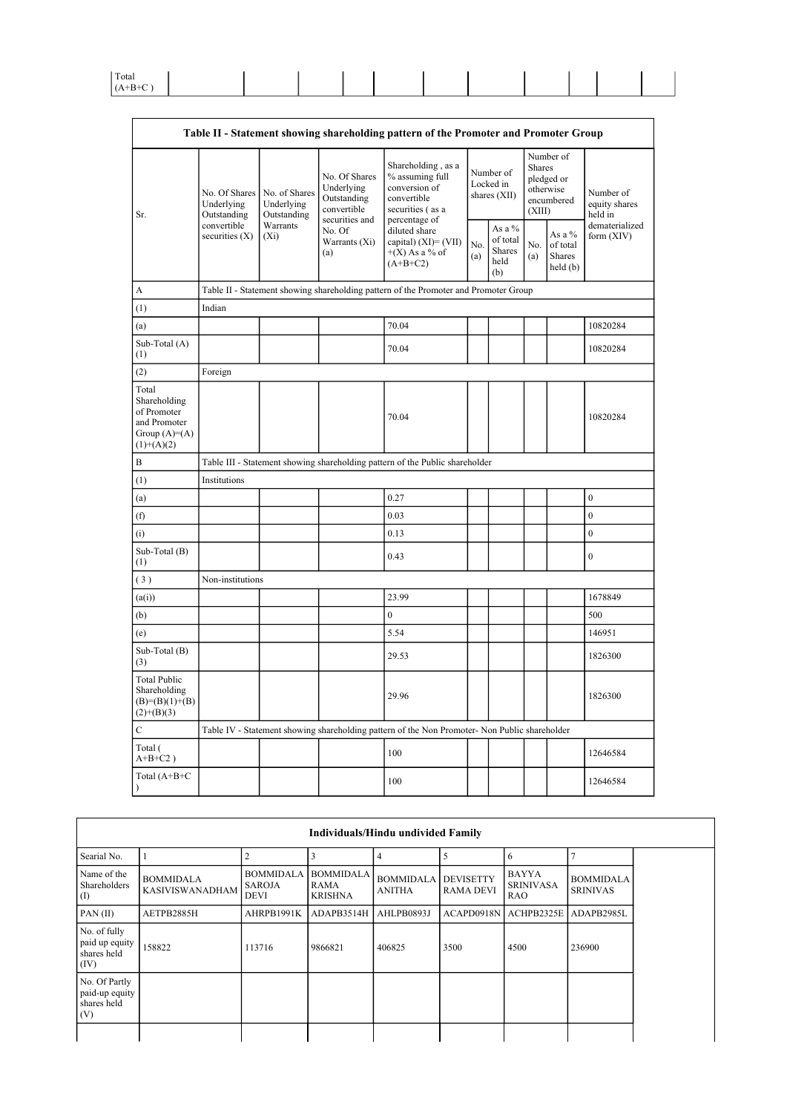| Total |  |  |  |  |  |  |
|-------|--|--|--|--|--|--|
|       |  |  |  |  |  |  |

|                                                                                        |                                            |                                            |                                                                             | Table II - Statement showing shareholding pattern of the Promoter and Promoter Group                       |            |                                                    |                  |                                                    |                                       |
|----------------------------------------------------------------------------------------|--------------------------------------------|--------------------------------------------|-----------------------------------------------------------------------------|------------------------------------------------------------------------------------------------------------|------------|----------------------------------------------------|------------------|----------------------------------------------------|---------------------------------------|
| Sr.                                                                                    | No. Of Shares<br>Underlying<br>Outstanding | No. of Shares<br>Underlying<br>Outstanding | No. Of Shares<br>Underlying<br>Outstanding<br>convertible<br>securities and | Shareholding, as a<br>% assuming full<br>conversion of<br>convertible<br>securities (as a<br>percentage of |            | Number of<br>Locked in<br>shares (XII)             | Shares<br>(XIII) | Number of<br>pledged or<br>otherwise<br>encumbered | Number of<br>equity shares<br>held in |
|                                                                                        | convertible<br>securities $(X)$            | Warrants<br>$(X_i)$                        | No. Of<br>Warrants (Xi)<br>(a)                                              | diluted share<br>capital) $(XI) = (VII)$<br>$+(X)$ As a % of<br>$(A+B+C2)$                                 | No.<br>(a) | As a %<br>of total<br><b>Shares</b><br>held<br>(b) | No.<br>(a)       | As a $%$<br>of total<br>Shares<br>held(b)          | dematerialized<br>form $(XIV)$        |
| A                                                                                      |                                            |                                            |                                                                             | Table II - Statement showing shareholding pattern of the Promoter and Promoter Group                       |            |                                                    |                  |                                                    |                                       |
| (1)                                                                                    | Indian                                     |                                            |                                                                             |                                                                                                            |            |                                                    |                  |                                                    |                                       |
| (a)                                                                                    |                                            |                                            |                                                                             | 70.04                                                                                                      |            |                                                    |                  |                                                    | 10820284                              |
| Sub-Total (A)<br>(1)                                                                   |                                            |                                            |                                                                             | 70.04                                                                                                      |            |                                                    |                  |                                                    | 10820284                              |
| (2)                                                                                    | Foreign                                    |                                            |                                                                             |                                                                                                            |            |                                                    |                  |                                                    |                                       |
| Total<br>Shareholding<br>of Promoter<br>and Promoter<br>Group $(A)=A)$<br>$(1)+(A)(2)$ |                                            |                                            |                                                                             | 70.04                                                                                                      |            |                                                    |                  |                                                    | 10820284                              |
| B                                                                                      |                                            |                                            |                                                                             | Table III - Statement showing shareholding pattern of the Public shareholder                               |            |                                                    |                  |                                                    |                                       |
| (1)                                                                                    | Institutions                               |                                            |                                                                             |                                                                                                            |            |                                                    |                  |                                                    |                                       |
| (a)                                                                                    |                                            |                                            |                                                                             | 0.27                                                                                                       |            |                                                    |                  |                                                    | $\boldsymbol{0}$                      |
| (f)                                                                                    |                                            |                                            |                                                                             | 0.03                                                                                                       |            |                                                    |                  |                                                    | $\mathbf{0}$                          |
| (i)                                                                                    |                                            |                                            |                                                                             | 0.13                                                                                                       |            |                                                    |                  |                                                    | $\mathbf{0}$                          |
| Sub-Total (B)<br>(1)                                                                   |                                            |                                            |                                                                             | 0.43                                                                                                       |            |                                                    |                  |                                                    | $\mathbf{0}$                          |
| (3)                                                                                    | Non-institutions                           |                                            |                                                                             |                                                                                                            |            |                                                    |                  |                                                    |                                       |
| (a(i))                                                                                 |                                            |                                            |                                                                             | 23.99                                                                                                      |            |                                                    |                  |                                                    | 1678849                               |
| (b)                                                                                    |                                            |                                            |                                                                             | $\mathbf{0}$                                                                                               |            |                                                    |                  |                                                    | 500                                   |
| (e)                                                                                    |                                            |                                            |                                                                             | 5.54                                                                                                       |            |                                                    |                  |                                                    | 146951                                |
| Sub-Total (B)<br>(3)                                                                   |                                            |                                            |                                                                             | 29.53                                                                                                      |            |                                                    |                  |                                                    | 1826300                               |
| <b>Total Public</b><br>Shareholding<br>$(B)= (B)(1)+(B)$<br>$(2)+(B)(3)$               |                                            |                                            |                                                                             | 29.96                                                                                                      |            |                                                    |                  |                                                    | 1826300                               |
| $\mathbf C$                                                                            |                                            |                                            |                                                                             | Table IV - Statement showing shareholding pattern of the Non Promoter- Non Public shareholder              |            |                                                    |                  |                                                    |                                       |
| Total (<br>$A+B+C2$ )                                                                  |                                            |                                            |                                                                             | 100                                                                                                        |            |                                                    |                  |                                                    | 12646584                              |
| Total (A+B+C<br>$\lambda$                                                              |                                            |                                            |                                                                             | 100                                                                                                        |            |                                                    |                  |                                                    | 12646584                              |

|                                                       |                                            |                                                  |                                            | Individuals/Hindu undivided Family |                                      |                                         |                                     |
|-------------------------------------------------------|--------------------------------------------|--------------------------------------------------|--------------------------------------------|------------------------------------|--------------------------------------|-----------------------------------------|-------------------------------------|
| Searial No.                                           |                                            |                                                  |                                            |                                    |                                      | 6                                       |                                     |
| Name of the<br>Shareholders<br>$\rm(D)$               | <b>BOMMIDALA</b><br><b>KASIVISWANADHAM</b> | <b>BOMMIDALA</b><br><b>SAROJA</b><br><b>DEVI</b> | <b>BOMMIDALA</b><br>RAMA<br><b>KRISHNA</b> | <b>BOMMIDALA</b><br><b>ANITHA</b>  | <b>DEVISETTY</b><br><b>RAMA DEVI</b> | BAYYA<br><b>SRINIVASA</b><br><b>RAO</b> | <b>BOMMIDALA</b><br><b>SRINIVAS</b> |
| PAN(II)                                               | AETPB2885H                                 | AHRPB1991K                                       | ADAPB3514H                                 | AHLPB0893J                         | ACAPD0918N   ACHPB2325E              |                                         | ADAPB2985L                          |
| No. of fully<br>paid up equity<br>shares held<br>(IV) | 158822                                     | 113716                                           | 9866821                                    | 406825                             | 3500                                 | 4500                                    | 236900                              |
| No. Of Partly<br>paid-up equity<br>shares held<br>(V) |                                            |                                                  |                                            |                                    |                                      |                                         |                                     |
|                                                       |                                            |                                                  |                                            |                                    |                                      |                                         |                                     |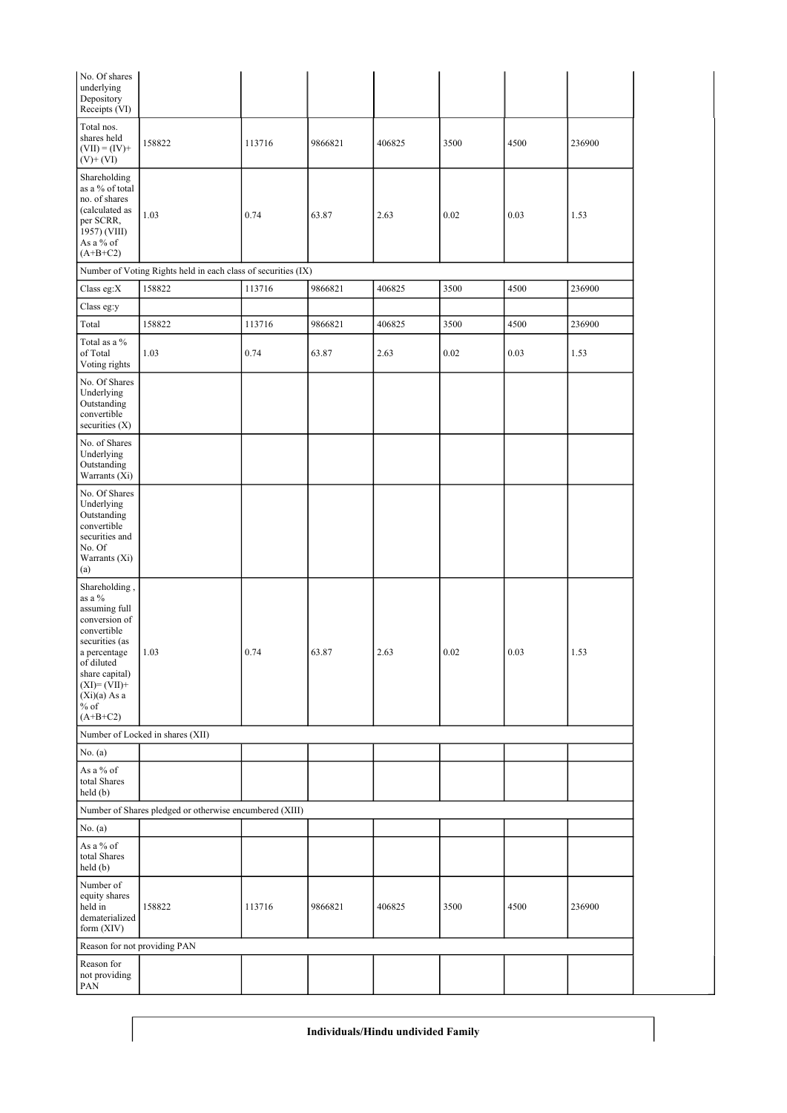| No. Of shares<br>underlying<br>Depository<br>Receipts (VI)                                                                                                                                             |                                                               |        |         |        |      |      |        |
|--------------------------------------------------------------------------------------------------------------------------------------------------------------------------------------------------------|---------------------------------------------------------------|--------|---------|--------|------|------|--------|
| Total nos.<br>shares held<br>$(VII) = (IV) +$<br>$(V)$ + $(VI)$                                                                                                                                        | 158822                                                        | 113716 | 9866821 | 406825 | 3500 | 4500 | 236900 |
| Shareholding<br>as a % of total<br>no. of shares<br>(calculated as<br>per SCRR,<br>1957) (VIII)<br>As a % of<br>$(A+B+C2)$                                                                             | 1.03                                                          | 0.74   | 63.87   | 2.63   | 0.02 | 0.03 | 1.53   |
|                                                                                                                                                                                                        | Number of Voting Rights held in each class of securities (IX) |        |         |        |      |      |        |
| Class eg:X                                                                                                                                                                                             | 158822                                                        | 113716 | 9866821 | 406825 | 3500 | 4500 | 236900 |
| Class eg:y                                                                                                                                                                                             |                                                               |        |         |        |      |      |        |
| Total                                                                                                                                                                                                  | 158822                                                        | 113716 | 9866821 | 406825 | 3500 | 4500 | 236900 |
| Total as a %<br>of Total<br>Voting rights                                                                                                                                                              | 1.03                                                          | 0.74   | 63.87   | 2.63   | 0.02 | 0.03 | 1.53   |
| No. Of Shares<br>Underlying<br>Outstanding<br>convertible<br>securities $(X)$                                                                                                                          |                                                               |        |         |        |      |      |        |
| No. of Shares<br>Underlying<br>Outstanding<br>Warrants (Xi)                                                                                                                                            |                                                               |        |         |        |      |      |        |
| No. Of Shares<br>Underlying<br>Outstanding<br>convertible<br>securities and<br>No. Of<br>Warrants (Xi)<br>(a)                                                                                          |                                                               |        |         |        |      |      |        |
| Shareholding,<br>as a %<br>assuming full<br>conversion of<br>convertible<br>securities (as<br>a percentage<br>of diluted<br>share capital)<br>$(XI)=(VII)+$<br>$(Xi)(a)$ As a<br>$\%$ of<br>$(A+B+C2)$ | 1.03                                                          | 0.74   | 63.87   | 2.63   | 0.02 | 0.03 | 1.53   |
|                                                                                                                                                                                                        | Number of Locked in shares (XII)                              |        |         |        |      |      |        |
| No. $(a)$                                                                                                                                                                                              |                                                               |        |         |        |      |      |        |
| As a $\%$ of<br>total Shares<br>held (b)                                                                                                                                                               |                                                               |        |         |        |      |      |        |
|                                                                                                                                                                                                        | Number of Shares pledged or otherwise encumbered (XIII)       |        |         |        |      |      |        |
| No. (a)                                                                                                                                                                                                |                                                               |        |         |        |      |      |        |
| As a $\%$ of<br>total Shares<br>held (b)                                                                                                                                                               |                                                               |        |         |        |      |      |        |
| Number of<br>equity shares<br>held in<br>dematerialized<br>form (XIV)                                                                                                                                  | 158822                                                        | 113716 | 9866821 | 406825 | 3500 | 4500 | 236900 |
| Reason for not providing PAN                                                                                                                                                                           |                                                               |        |         |        |      |      |        |
| Reason for<br>not providing<br>PAN                                                                                                                                                                     |                                                               |        |         |        |      |      |        |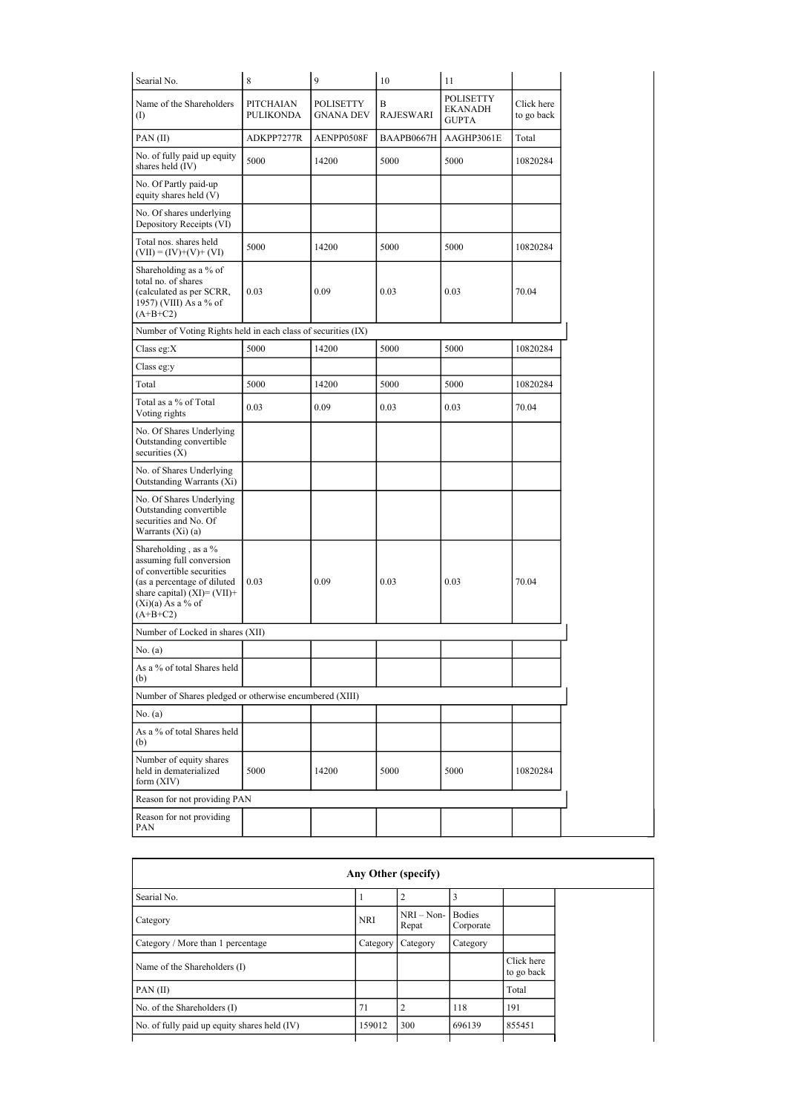| Searial No.                                                                                                                                                                          | $\,$ 8 $\,$                          | 9                                    | 10             | 11                                                 |                          |
|--------------------------------------------------------------------------------------------------------------------------------------------------------------------------------------|--------------------------------------|--------------------------------------|----------------|----------------------------------------------------|--------------------------|
| Name of the Shareholders<br>(                                                                                                                                                        | <b>PITCHAIAN</b><br><b>PULIKONDA</b> | <b>POLISETTY</b><br><b>GNANA DEV</b> | B<br>RAJESWARI | <b>POLISETTY</b><br><b>EKANADH</b><br><b>GUPTA</b> | Click here<br>to go back |
| PAN(II)                                                                                                                                                                              | ADKPP7277R                           | AENPP0508F                           | BAAPB0667H     | AAGHP3061E                                         | Total                    |
| No. of fully paid up equity<br>shares held (IV)                                                                                                                                      | 5000                                 | 14200                                | 5000           | 5000                                               | 10820284                 |
| No. Of Partly paid-up<br>equity shares held (V)                                                                                                                                      |                                      |                                      |                |                                                    |                          |
| No. Of shares underlying<br>Depository Receipts (VI)                                                                                                                                 |                                      |                                      |                |                                                    |                          |
| Total nos. shares held<br>$(VII) = (IV)+(V)+(VI)$                                                                                                                                    | 5000                                 | 14200                                | 5000           | 5000                                               | 10820284                 |
| Shareholding as a % of<br>total no. of shares<br>(calculated as per SCRR,<br>1957) (VIII) As a % of<br>$(A+B+C2)$                                                                    | 0.03                                 | 0.09                                 | 0.03           | 0.03                                               | 70.04                    |
| Number of Voting Rights held in each class of securities (IX)                                                                                                                        |                                      |                                      |                |                                                    |                          |
| Class eg: $X$                                                                                                                                                                        | 5000                                 | 14200                                | 5000           | 5000                                               | 10820284                 |
| Class eg:y                                                                                                                                                                           |                                      |                                      |                |                                                    |                          |
| Total                                                                                                                                                                                | 5000                                 | 14200                                | 5000           | 5000                                               | 10820284                 |
| Total as a % of Total<br>Voting rights                                                                                                                                               | 0.03                                 | 0.09                                 | 0.03           | 0.03                                               | 70.04                    |
| No. Of Shares Underlying<br>Outstanding convertible<br>securities $(X)$                                                                                                              |                                      |                                      |                |                                                    |                          |
| No. of Shares Underlying<br>Outstanding Warrants (Xi)                                                                                                                                |                                      |                                      |                |                                                    |                          |
| No. Of Shares Underlying<br>Outstanding convertible<br>securities and No. Of<br>Warrants $(X_i)$ (a)                                                                                 |                                      |                                      |                |                                                    |                          |
| Shareholding, as a %<br>assuming full conversion<br>of convertible securities<br>(as a percentage of diluted<br>share capital) $(XI) = (VII) +$<br>$(Xi)(a)$ As a % of<br>$(A+B+C2)$ | 0.03                                 | 0.09                                 | 0.03           | 0.03                                               | 70.04                    |
| Number of Locked in shares (XII)                                                                                                                                                     |                                      |                                      |                |                                                    |                          |
| No. (a)                                                                                                                                                                              |                                      |                                      |                |                                                    |                          |
| As a % of total Shares held<br>(b)                                                                                                                                                   |                                      |                                      |                |                                                    |                          |
| Number of Shares pledged or otherwise encumbered (XIII)                                                                                                                              |                                      |                                      |                |                                                    |                          |
| No. (a)                                                                                                                                                                              |                                      |                                      |                |                                                    |                          |
| As a % of total Shares held<br>(b)                                                                                                                                                   |                                      |                                      |                |                                                    |                          |
| Number of equity shares<br>held in dematerialized<br>form $(XIV)$                                                                                                                    | 5000                                 | 14200                                | 5000           | 5000                                               | 10820284                 |
| Reason for not providing PAN                                                                                                                                                         |                                      |                                      |                |                                                    |                          |
| Reason for not providing<br>PAN                                                                                                                                                      |                                      |                                      |                |                                                    |                          |

|                                              |            | Any Other (specify)   |                            |                          |
|----------------------------------------------|------------|-----------------------|----------------------------|--------------------------|
| Searial No.                                  |            |                       | 3                          |                          |
| Category                                     | <b>NRI</b> | $NRI - Non-$<br>Repat | <b>Bodies</b><br>Corporate |                          |
| Category / More than 1 percentage            | Category   | Category              | Category                   |                          |
| Name of the Shareholders (I)                 |            |                       |                            | Click here<br>to go back |
| PAN(II)                                      |            |                       |                            | Total                    |
| No. of the Shareholders (I)                  | 71         | C                     | 118                        | 191                      |
| No. of fully paid up equity shares held (IV) | 159012     | 300                   | 696139                     | 855451                   |